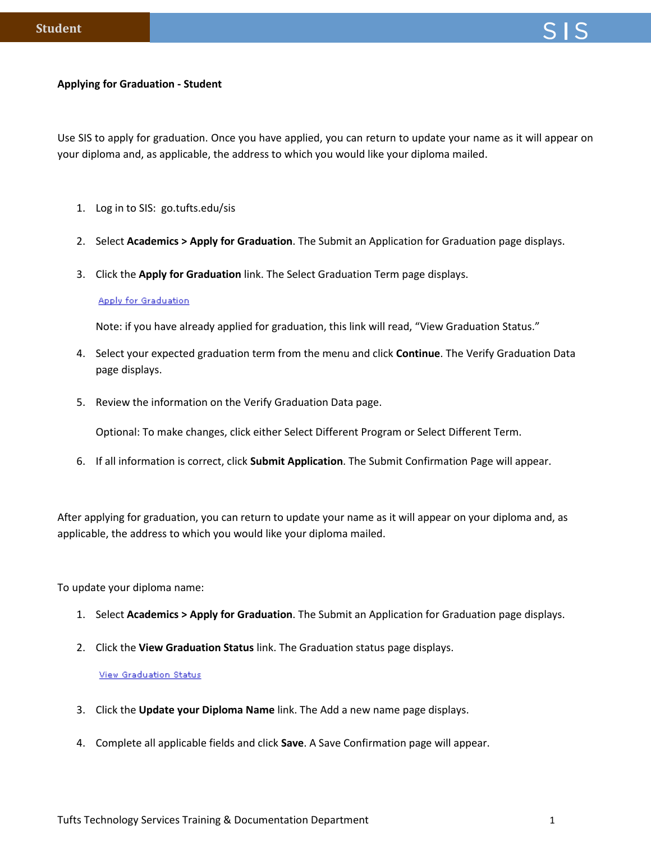## **Applying for Graduation - Student**

Use SIS to apply for graduation. Once you have applied, you can return to update your name as it will appear on your diploma and, as applicable, the address to which you would like your diploma mailed.

- 1. Log in to SIS: go.tufts.edu/sis
- 2. Select **Academics > Apply for Graduation**. The Submit an Application for Graduation page displays.
- 3. Click the **Apply for Graduation** link. The Select Graduation Term page displays.

## **Apply for Graduation**

Note: if you have already applied for graduation, this link will read, "View Graduation Status."

- 4. Select your expected graduation term from the menu and click **Continue**. The Verify Graduation Data page displays.
- 5. Review the information on the Verify Graduation Data page.

Optional: To make changes, click either Select Different Program or Select Different Term.

6. If all information is correct, click **Submit Application**. The Submit Confirmation Page will appear.

After applying for graduation, you can return to update your name as it will appear on your diploma and, as applicable, the address to which you would like your diploma mailed.

To update your diploma name:

- 1. Select **Academics > Apply for Graduation**. The Submit an Application for Graduation page displays.
- 2. Click the **View Graduation Status** link. The Graduation status page displays.

## **View Graduation Status**

- 3. Click the **Update your Diploma Name** link. The Add a new name page displays.
- 4. Complete all applicable fields and click **Save**. A Save Confirmation page will appear.